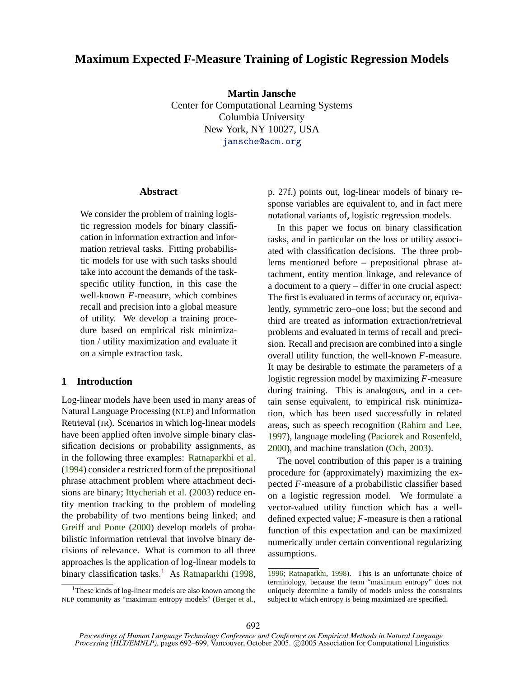# **Maximum Expected F-Measure Training of Logistic Regression Models**

**Martin Jansche** Center for Computational Learning Systems Columbia University New York, NY 10027, USA jansche@acm.org

#### **Abstract**

We consider the problem of training logistic regression models for binary classification in information extraction and information retrieval tasks. Fitting probabilistic models for use with such tasks should take into account the demands of the taskspecific utility function, in this case the well-known *F*-measure, which combines recall and precision into a global measure of utility. We develop a training procedure based on empirical risk minimization / utility maximization and evaluate it on a simple extraction task.

## **1 Introduction**

Log-linear models have been used in many areas of Natural Language Processing (NLP) and Information Retrieval (IR). Scenarios in which log-linear models have been applied often involve simple binary classification decisions or probability assignments, as in the following three examples: Ratnaparkhi et al. (1994) consider a restricted form of the prepositional phrase attachment problem where attachment decisions are binary; Ittycheriah et al. (2003) reduce entity mention tracking to the problem of modeling the probability of two mentions being linked; and Greiff and Ponte (2000) develop models of probabilistic information retrieval that involve binary decisions of relevance. What is common to all three approaches is the application of log-linear models to binary classification tasks.<sup>1</sup> As Ratnaparkhi (1998, p. 27f.) points out, log-linear models of binary response variables are equivalent to, and in fact mere notational variants of, logistic regression models.

In this paper we focus on binary classification tasks, and in particular on the loss or utility associated with classification decisions. The three problems mentioned before – prepositional phrase attachment, entity mention linkage, and relevance of a document to a query – differ in one crucial aspect: The first is evaluated in terms of accuracy or, equivalently, symmetric zero–one loss; but the second and third are treated as information extraction/retrieval problems and evaluated in terms of recall and precision. Recall and precision are combined into a single overall utility function, the well-known *F*-measure. It may be desirable to estimate the parameters of a logistic regression model by maximizing *F*-measure during training. This is analogous, and in a certain sense equivalent, to empirical risk minimization, which has been used successfully in related areas, such as speech recognition (Rahim and Lee, 1997), language modeling (Paciorek and Rosenfeld, 2000), and machine translation (Och, 2003).

The novel contribution of this paper is a training procedure for (approximately) maximizing the expected *F*-measure of a probabilistic classifier based on a logistic regression model. We formulate a vector-valued utility function which has a welldefined expected value; *F*-measure is then a rational function of this expectation and can be maximized numerically under certain conventional regularizing assumptions.

<sup>&</sup>lt;sup>1</sup>These kinds of log-linear models are also known among the NLP community as "maximum entropy models" (Berger et al.,

<sup>1996;</sup> Ratnaparkhi, 1998). This is an unfortunate choice of terminology, because the term "maximum entropy" does not uniquely determine a family of models unless the constraints subject to which entropy is being maximized are specified.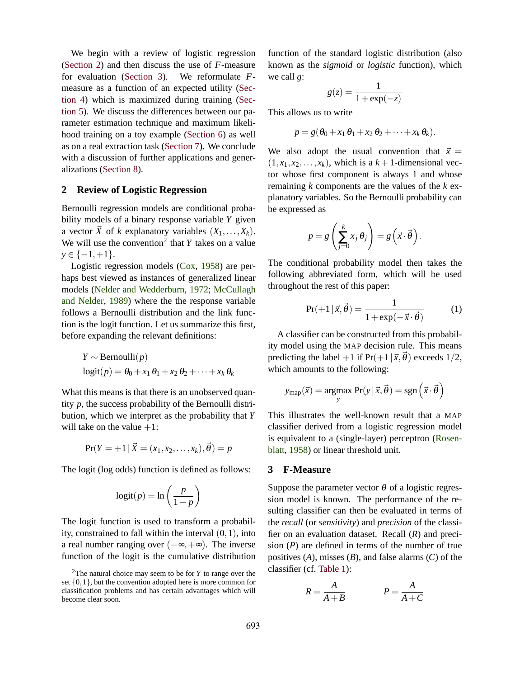We begin with a review of logistic regression (Section 2) and then discuss the use of *F*-measure for evaluation (Section 3). We reformulate *F*measure as a function of an expected utility (Section 4) which is maximized during training (Section 5). We discuss the differences between our parameter estimation technique and maximum likelihood training on a toy example (Section 6) as well as on a real extraction task (Section 7). We conclude with a discussion of further applications and generalizations (Section 8).

## **2 Review of Logistic Regression**

Bernoulli regression models are conditional probability models of a binary response variable *Y* given a vector  $\vec{X}$  of *k* explanatory variables  $(X_1, \ldots, X_k)$ . We will use the convention<sup>2</sup> that  $Y$  takes on a value *y* ∈ {-1,+1}.

Logistic regression models (Cox, 1958) are perhaps best viewed as instances of generalized linear models (Nelder and Wedderburn, 1972; McCullagh and Nelder, 1989) where the the response variable follows a Bernoulli distribution and the link function is the logit function. Let us summarize this first, before expanding the relevant definitions:

$$
Y \sim \text{Bernoulli}(p)
$$
  
logit $(p) = \theta_0 + x_1 \theta_1 + x_2 \theta_2 + \dots + x_k \theta_k$ 

What this means is that there is an unobserved quantity *p*, the success probability of the Bernoulli distribution, which we interpret as the probability that *Y* will take on the value  $+1$ :

$$
Pr(Y = +1 | \vec{X} = (x_1, x_2, \dots, x_k), \vec{\theta}) = p
$$

The logit (log odds) function is defined as follows:

$$
logit(p) = \ln\left(\frac{p}{1-p}\right)
$$

The logit function is used to transform a probability, constrained to fall within the interval  $(0,1)$ , into a real number ranging over  $(-\infty, +\infty)$ . The inverse function of the logit is the cumulative distribution function of the standard logistic distribution (also known as the *sigmoid* or *logistic* function), which we call *g*:

$$
g(z) = \frac{1}{1 + \exp(-z)}
$$

This allows us to write

$$
p = g(\theta_0 + x_1 \theta_1 + x_2 \theta_2 + \cdots + x_k \theta_k).
$$

We also adopt the usual convention that  $\vec{x}$  =  $(1, x_1, x_2, \ldots, x_k)$ , which is a  $k+1$ -dimensional vector whose first component is always 1 and whose remaining *k* components are the values of the *k* explanatory variables. So the Bernoulli probability can be expressed as

$$
p = g\left(\sum_{j=0}^k x_j \theta_j\right) = g\left(\vec{x} \cdot \vec{\theta}\right).
$$

The conditional probability model then takes the following abbreviated form, which will be used throughout the rest of this paper:

$$
Pr(+1 | \vec{x}, \vec{\theta}) = \frac{1}{1 + \exp(-\vec{x} \cdot \vec{\theta})}
$$
 (1)

A classifier can be constructed from this probability model using the MAP decision rule. This means predicting the label +1 if  $Pr(+1|\vec{x}, \vec{\theta})$  exceeds 1/2, which amounts to the following:

$$
y_{\text{map}}(\vec{x}) = \underset{y}{\text{argmax}} \Pr(y | \vec{x}, \vec{\theta}) = \text{sgn}\left(\vec{x} \cdot \vec{\theta}\right)
$$

This illustrates the well-known result that a MAP classifier derived from a logistic regression model is equivalent to a (single-layer) perceptron (Rosenblatt, 1958) or linear threshold unit.

### **3 F-Measure**

Suppose the parameter vector  $\theta$  of a logistic regression model is known. The performance of the resulting classifier can then be evaluated in terms of the *recall* (or *sensitivity*) and *precision* of the classifier on an evaluation dataset. Recall (*R*) and precision (*P*) are defined in terms of the number of true positives (*A*), misses (*B*), and false alarms (*C*) of the classifier (cf. Table 1):

$$
R = \frac{A}{A+B} \qquad P = \frac{A}{A+C}
$$

<sup>2</sup>The natural choice may seem to be for *Y* to range over the set  $\{0,1\}$ , but the convention adopted here is more common for classification problems and has certain advantages which will become clear soon.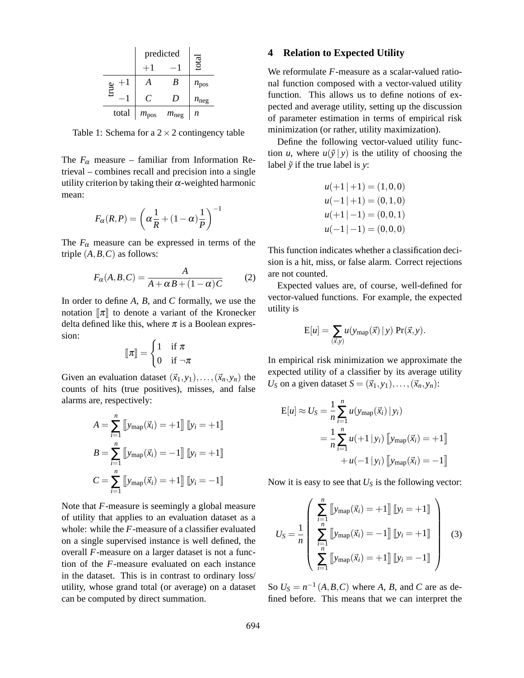|              | predicted        |                  |                  |
|--------------|------------------|------------------|------------------|
|              |                  |                  | total            |
| $+1$<br>true |                  | В                | $n_{\text{pos}}$ |
|              | C                | D                | $n_{\text{neg}}$ |
| total        | $m_{\text{pos}}$ | $m_{\text{neg}}$ | n                |

Table 1: Schema for a  $2 \times 2$  contingency table

The  $F_{\alpha}$  measure – familiar from Information Retrieval – combines recall and precision into a single utility criterion by taking their  $\alpha$ -weighted harmonic mean:

$$
F_{\alpha}(R,P) = \left(\alpha \frac{1}{R} + (1-\alpha) \frac{1}{P}\right)^{-1}
$$

The  $F_{\alpha}$  measure can be expressed in terms of the triple  $(A, B, C)$  as follows:

$$
F_{\alpha}(A, B, C) = \frac{A}{A + \alpha B + (1 - \alpha)C}
$$
 (2)

In order to define *A*, *B*, and *C* formally, we use the notation  $\llbracket \pi \rrbracket$  to denote a variant of the Kronecker delta defined like this, where  $\pi$  is a Boolean expression:

$$
\llbracket \pi \rrbracket = \begin{cases} 1 & \text{if } \pi \\ 0 & \text{if } \neg \pi \end{cases}
$$

Given an evaluation dataset  $(\vec{x}_1, y_1), \ldots, (\vec{x}_n, y_n)$  the counts of hits (true positives), misses, and false alarms are, respectively:

$$
A = \sum_{i=1}^{n} \left[ y_{\text{map}}(\vec{x}_i) = +1 \right] \left[ y_i = +1 \right]
$$
  

$$
B = \sum_{i=1}^{n} \left[ y_{\text{map}}(\vec{x}_i) = -1 \right] \left[ y_i = +1 \right]
$$
  

$$
C = \sum_{i=1}^{n} \left[ y_{\text{map}}(\vec{x}_i) = +1 \right] \left[ y_i = -1 \right]
$$

Note that *F*-measure is seemingly a global measure of utility that applies to an evaluation dataset as a whole: while the *F*-measure of a classifier evaluated on a single supervised instance is well defined, the overall *F*-measure on a larger dataset is not a function of the *F*-measure evaluated on each instance in the dataset. This is in contrast to ordinary loss/ utility, whose grand total (or average) on a dataset can be computed by direct summation.

#### **4 Relation to Expected Utility**

We reformulate *F*-measure as a scalar-valued rational function composed with a vector-valued utility function. This allows us to define notions of expected and average utility, setting up the discussion of parameter estimation in terms of empirical risk minimization (or rather, utility maximization).

Define the following vector-valued utility function *u*, where  $u(\tilde{y} | y)$  is the utility of choosing the label  $\tilde{y}$  if the true label is *y*:

$$
u(+1|+1) = (1,0,0)
$$
  
\n
$$
u(-1|+1) = (0,1,0)
$$
  
\n
$$
u(+1|-1) = (0,0,1)
$$
  
\n
$$
u(-1|-1) = (0,0,0)
$$

This function indicates whether a classification decision is a hit, miss, or false alarm. Correct rejections are not counted.

Expected values are, of course, well-defined for vector-valued functions. For example, the expected utility is

$$
E[u] = \sum_{(\vec{x},y)} u(y_{\text{map}}(\vec{x}) | y) Pr(\vec{x},y).
$$

In empirical risk minimization we approximate the expected utility of a classifier by its average utility  $U_S$  on a given dataset  $S = (\vec{x}_1, y_1), \ldots, (\vec{x}_n, y_n)$ :

$$
E[u] \approx U_S = \frac{1}{n} \sum_{i=1}^{n} u(y_{map}(\vec{x}_i) | y_i)
$$
  
= 
$$
\frac{1}{n} \sum_{i=1}^{n} u(+1 | y_i) [y_{map}(\vec{x}_i) = +1]
$$
  
+ 
$$
u(-1 | y_i) [y_{map}(\vec{x}_i) = -1]
$$

Now it is easy to see that  $U<sub>S</sub>$  is the following vector:

$$
U_S = \frac{1}{n} \begin{pmatrix} \sum_{i=1}^{n} \left[ y_{\text{map}}(\vec{x}_i) = +1 \right] \left[ y_i = +1 \right] \\ \sum_{i=1}^{n} \left[ y_{\text{map}}(\vec{x}_i) = -1 \right] \left[ y_i = +1 \right] \\ \sum_{i=1}^{n} \left[ y_{\text{map}}(\vec{x}_i) = +1 \right] \left[ y_i = -1 \right] \end{pmatrix}
$$
 (3)

So  $U_S = n^{-1}(A, B, C)$  where *A*, *B*, and *C* are as defined before. This means that we can interpret the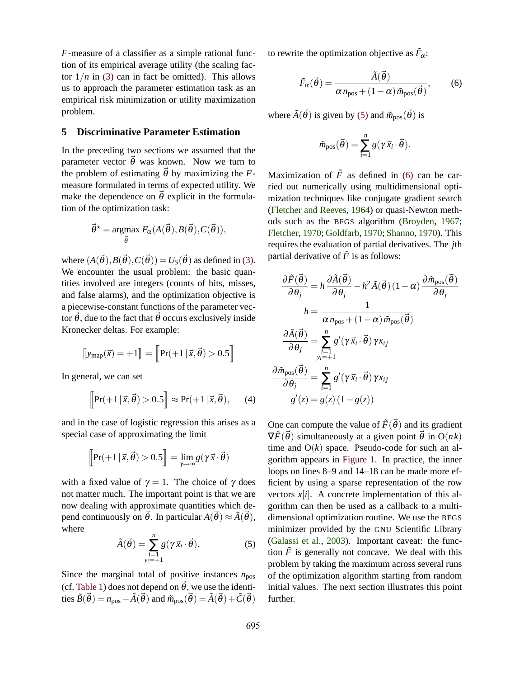*F*-measure of a classifier as a simple rational function of its empirical average utility (the scaling factor  $1/n$  in (3) can in fact be omitted). This allows us to approach the parameter estimation task as an empirical risk minimization or utility maximization problem.

# **5 Discriminative Parameter Estimation**

In the preceding two sections we assumed that the parameter vector  $\vec{\theta}$  was known. Now we turn to the problem of estimating  $\vec{\theta}$  by maximizing the *F*measure formulated in terms of expected utility. We make the dependence on  $\vec{\theta}$  explicit in the formulation of the optimization task:

$$
\vec{\theta}^* = \underset{\vec{\theta}}{\text{argmax}} F_{\alpha}(A(\vec{\theta}), B(\vec{\theta}), C(\vec{\theta})),
$$

where  $(A(\vec{\theta}), B(\vec{\theta}), C(\vec{\theta})) = U_s(\vec{\theta})$  as defined in (3). We encounter the usual problem: the basic quantities involved are integers (counts of hits, misses, and false alarms), and the optimization objective is a piecewise-constant functions of the parameter vector  $\vec{\theta}$ , due to the fact that  $\vec{\theta}$  occurs exclusively inside Kronecker deltas. For example:

$$
\llbracket y_{map}(\vec{x}) = +1 \rrbracket = \llbracket \Pr(+1 \,|\, \vec{x}, \vec{\theta}) > 0.5 \rrbracket
$$

In general, we can set

$$
\[\Pr(+1\,|\,\vec{x},\vec{\theta}) > 0.5\]\] \approx \Pr(+1\,|\,\vec{x},\vec{\theta}),\tag{4}
$$

and in the case of logistic regression this arises as a special case of approximating the limit

$$
\left[\Pr(+1\,|\,\vec{x},\vec{\theta}) > 0.5\right] = \lim_{\gamma \to \infty} g(\gamma \vec{x} \cdot \vec{\theta})
$$

with a fixed value of  $\gamma = 1$ . The choice of  $\gamma$  does not matter much. The important point is that we are now dealing with approximate quantities which depend continuously on  $\vec{\theta}$ . In particular  $A(\vec{\theta}) \approx \tilde{A}(\vec{\theta}),$ where

$$
\tilde{A}(\vec{\theta}) = \sum_{\substack{i=1 \ y_i = +1}}^n g(\gamma \vec{x}_i \cdot \vec{\theta}).
$$
\n(5)

Since the marginal total of positive instances  $n_{\text{pos}}$ (cf. Table 1) does not depend on  $\vec{\theta}$ , we use the identities  $\tilde{B}(\vec{\theta}) = n_{pos} - \tilde{A}(\vec{\theta})$  and  $\tilde{m}_{pos}(\vec{\theta}) = \tilde{A}(\vec{\theta}) + \tilde{C}(\vec{\theta})$  to rewrite the optimization objective as  $\tilde{F}_{\alpha}$ :

$$
\tilde{F}_{\alpha}(\vec{\theta}) = \frac{\tilde{A}(\vec{\theta})}{\alpha n_{\text{pos}} + (1 - \alpha)\tilde{m}_{\text{pos}}(\vec{\theta})},
$$
(6)

where  $\tilde{A}(\vec{\theta})$  is given by (5) and  $\tilde{m}_{\text{pos}}(\vec{\theta})$  is

$$
\tilde{m}_{\text{pos}}(\vec{\theta}) = \sum_{i=1}^{n} g(\gamma \vec{x}_i \cdot \vec{\theta}).
$$

Maximization of  $\tilde{F}$  as defined in (6) can be carried out numerically using multidimensional optimization techniques like conjugate gradient search (Fletcher and Reeves, 1964) or quasi-Newton methods such as the BFGS algorithm (Broyden, 1967; Fletcher, 1970; Goldfarb, 1970; Shanno, 1970). This requires the evaluation of partial derivatives. The *j*th partial derivative of  $\tilde{F}$  is as follows:

$$
\frac{\partial \tilde{F}(\vec{\theta})}{\partial \theta_j} = h \frac{\partial \tilde{A}(\vec{\theta})}{\partial \theta_j} - h^2 \tilde{A}(\vec{\theta}) (1 - \alpha) \frac{\partial \tilde{m}_{\text{pos}}(\vec{\theta})}{\partial \theta_j}
$$

$$
h = \frac{1}{\alpha n_{\text{pos}} + (1 - \alpha) \tilde{m}_{\text{pos}}(\vec{\theta})}
$$

$$
\frac{\partial \tilde{A}(\vec{\theta})}{\partial \theta_j} = \sum_{\substack{i=1 \ i=1}}^n g'(\gamma \vec{x}_i \cdot \vec{\theta}) \gamma x_{ij}
$$

$$
\frac{\partial \tilde{m}_{\text{pos}}(\vec{\theta})}{\partial \theta_j} = \sum_{i=1}^n g'(\gamma \vec{x}_i \cdot \vec{\theta}) \gamma x_{ij}
$$

$$
g'(z) = g(z) (1 - g(z))
$$

One can compute the value of  $\tilde{F}(\vec{\theta})$  and its gradient  $\nabla \tilde{F}(\vec{\theta})$  simultaneously at a given point  $\vec{\theta}$  in O(*nk*) time and  $O(k)$  space. Pseudo-code for such an algorithm appears in Figure 1. In practice, the inner loops on lines 8–9 and 14–18 can be made more efficient by using a sparse representation of the row vectors  $x[i]$ . A concrete implementation of this algorithm can then be used as a callback to a multidimensional optimization routine. We use the BFGS minimizer provided by the GNU Scientific Library (Galassi et al., 2003). Important caveat: the function  $\tilde{F}$  is generally not concave. We deal with this problem by taking the maximum across several runs of the optimization algorithm starting from random initial values. The next section illustrates this point further.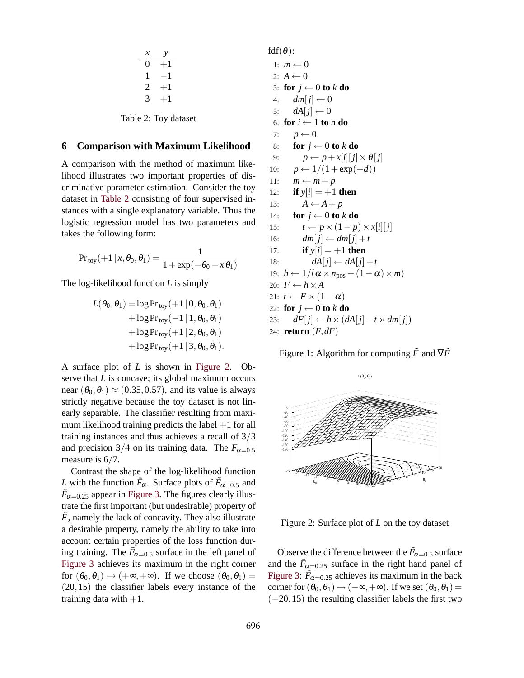| х | y    |  |
|---|------|--|
| 0 | $+1$ |  |
| 1 | -1   |  |
| 2 | $+1$ |  |
| 3 | $+1$ |  |
|   |      |  |

Table 2: Toy dataset

#### **6 Comparison with Maximum Likelihood**

A comparison with the method of maximum likelihood illustrates two important properties of discriminative parameter estimation. Consider the toy dataset in Table 2 consisting of four supervised instances with a single explanatory variable. Thus the logistic regression model has two parameters and takes the following form:

$$
Pr_{toy}(+1 | x, \theta_0, \theta_1) = \frac{1}{1 + \exp(-\theta_0 - x\theta_1)}
$$

The log-likelihood function *L* is simply

$$
L(\theta_0, \theta_1) = \log \Pr_{\text{toy}}(+1 | 0, \theta_0, \theta_1)
$$
  
+ 
$$
\log \Pr_{\text{toy}}(-1 | 1, \theta_0, \theta_1)
$$
  
+ 
$$
\log \Pr_{\text{toy}}(+1 | 2, \theta_0, \theta_1)
$$
  
+ 
$$
\log \Pr_{\text{toy}}(+1 | 3, \theta_0, \theta_1).
$$

A surface plot of *L* is shown in Figure 2. Observe that *L* is concave; its global maximum occurs near  $(\theta_0, \theta_1) \approx (0.35, 0.57)$ , and its value is always strictly negative because the toy dataset is not linearly separable. The classifier resulting from maximum likelihood training predicts the label  $+1$  for all training instances and thus achieves a recall of 3/3 and precision  $3/4$  on its training data. The  $F_{\alpha=0.5}$ measure is  $6/7$ .

Contrast the shape of the log-likelihood function *L* with the function  $\tilde{F}_{\alpha}$ . Surface plots of  $\tilde{F}_{\alpha=0.5}$  and  $\tilde{F}_{\alpha=0.25}$  appear in Figure 3. The figures clearly illustrate the first important (but undesirable) property of  $\tilde{F}$ , namely the lack of concavity. They also illustrate a desirable property, namely the ability to take into account certain properties of the loss function during training. The  $\tilde{F}_{\alpha=0.5}$  surface in the left panel of Figure 3 achieves its maximum in the right corner for  $(\theta_0, \theta_1) \rightarrow (+\infty, +\infty)$ . If we choose  $(\theta_0, \theta_1)$  = (20,15) the classifier labels every instance of the training data with  $+1$ .

 $fdf(\theta)$ :

1:  $m \leftarrow 0$ 2:  $A \leftarrow 0$ 3: **for**  $j \leftarrow 0$  **to**  $k$  **do** 4:  $dm[i] \leftarrow 0$ 5:  $dA[j] \leftarrow 0$ 6: **for**  $i \leftarrow 1$  **to** *n* **do** 7:  $p \leftarrow 0$ 8: **for**  $j \leftarrow 0$  **to**  $k$  **do** 9:  $p \leftarrow p + x[i][j] \times \theta[j]$ 10:  $p \leftarrow 1/(1 + \exp(-d))$ 11:  $m \leftarrow m + p$ 12: **if**  $y[i] = +1$  **then** 13:  $A \leftarrow A + p$ 14: **for**  $j \leftarrow 0$  **to**  $k$  **do** 15:  $t \leftarrow p \times (1-p) \times x[i][j]$ 16:  $dm[j] \leftarrow dm[j] + t$ 17: **if**  $y[i] = +1$  **then** 18:  $dA[j] \leftarrow dA[j] + t$ 19:  $h \leftarrow 1/(\alpha \times n_{\text{pos}} + (1 - \alpha) \times m)$ 20:  $F \leftarrow h \times A$ 21:  $t \leftarrow F \times (1 - \alpha)$ 22: **for**  $j \leftarrow 0$  **to**  $k$  **do** 23: *dF*[ $j$ ] ←  $h \times (dA[j] - t \times dm[j])$ 24: **return** (*F*,*dF*)

Figure 1: Algorithm for computing  $\tilde{F}$  and  $\nabla \tilde{F}$ 



Figure 2: Surface plot of *L* on the toy dataset

Observe the difference between the  $\tilde{F}_{\alpha=0.5}$  surface and the  $\tilde{F}_{\alpha=0.25}$  surface in the right hand panel of Figure 3:  $\tilde{F}_{\alpha=0.25}$  achieves its maximum in the back corner for  $(\theta_0, \theta_1) \rightarrow (-\infty, +\infty)$ . If we set  $(\theta_0, \theta_1) =$  $(-20, 15)$  the resulting classifier labels the first two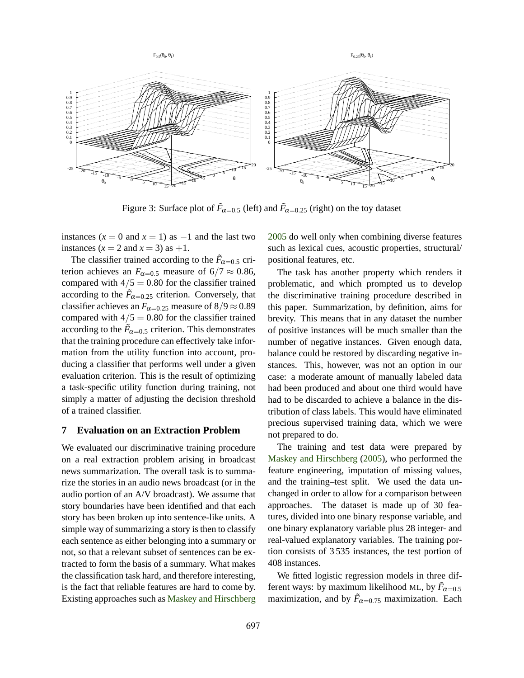

Figure 3: Surface plot of  $\tilde{F}_{\alpha=0.5}$  (left) and  $\tilde{F}_{\alpha=0.25}$  (right) on the toy dataset

instances  $(x = 0 \text{ and } x = 1)$  as  $-1$  and the last two instances  $(x = 2$  and  $x = 3$ ) as  $+1$ .

The classifier trained according to the  $\tilde{F}_{\alpha=0.5}$  criterion achieves an  $F_{\alpha=0.5}$  measure of 6/7  $\approx$  0.86, compared with  $4/5 = 0.80$  for the classifier trained according to the  $\tilde{F}_{\alpha=0.25}$  criterion. Conversely, that classifier achieves an  $F_{\alpha=0.25}$  measure of  $8/9 \approx 0.89$ compared with  $4/5 = 0.80$  for the classifier trained according to the  $\tilde{F}_{\alpha=0.5}$  criterion. This demonstrates that the training procedure can effectively take information from the utility function into account, producing a classifier that performs well under a given evaluation criterion. This is the result of optimizing a task-specific utility function during training, not simply a matter of adjusting the decision threshold of a trained classifier.

# **7 Evaluation on an Extraction Problem**

We evaluated our discriminative training procedure on a real extraction problem arising in broadcast news summarization. The overall task is to summarize the stories in an audio news broadcast (or in the audio portion of an A/V broadcast). We assume that story boundaries have been identified and that each story has been broken up into sentence-like units. A simple way of summarizing a story is then to classify each sentence as either belonging into a summary or not, so that a relevant subset of sentences can be extracted to form the basis of a summary. What makes the classification task hard, and therefore interesting, is the fact that reliable features are hard to come by. Existing approaches such as Maskey and Hirschberg

2005 do well only when combining diverse features such as lexical cues, acoustic properties, structural/ positional features, etc.

The task has another property which renders it problematic, and which prompted us to develop the discriminative training procedure described in this paper. Summarization, by definition, aims for brevity. This means that in any dataset the number of positive instances will be much smaller than the number of negative instances. Given enough data, balance could be restored by discarding negative instances. This, however, was not an option in our case: a moderate amount of manually labeled data had been produced and about one third would have had to be discarded to achieve a balance in the distribution of class labels. This would have eliminated precious supervised training data, which we were not prepared to do.

The training and test data were prepared by Maskey and Hirschberg (2005), who performed the feature engineering, imputation of missing values, and the training–test split. We used the data unchanged in order to allow for a comparison between approaches. The dataset is made up of 30 features, divided into one binary response variable, and one binary explanatory variable plus 28 integer- and real-valued explanatory variables. The training portion consists of 3 535 instances, the test portion of 408 instances.

We fitted logistic regression models in three different ways: by maximum likelihood ML, by  $\tilde{F}_{\alpha=0.5}$ maximization, and by  $\tilde{F}_{\alpha=0.75}$  maximization. Each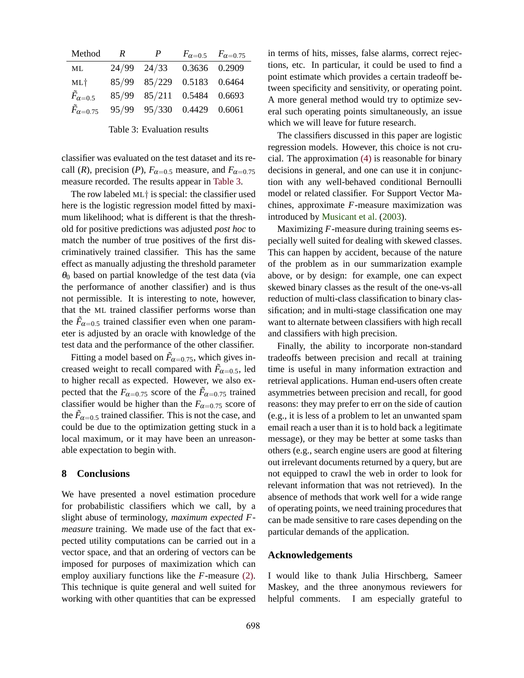| Method                    | R | P                          |               | $F_{\alpha=0.5}$ $F_{\alpha=0.75}$ |
|---------------------------|---|----------------------------|---------------|------------------------------------|
| ML                        |   | $24/99$ $24/33$            | 0.3636 0.2909 |                                    |
| $ML+$                     |   | 85/99 85/229 0.5183 0.6464 |               |                                    |
| $\tilde{F}_{\alpha=0.5}$  |   | 85/99 85/211 0.5484 0.6693 |               |                                    |
| $\tilde{F}_{\alpha=0.75}$ |   | 95/99 95/330 0.4429 0.6061 |               |                                    |

Table 3: Evaluation results

classifier was evaluated on the test dataset and its recall (*R*), precision (*P*),  $F_{\alpha=0.5}$  measure, and  $F_{\alpha=0.75}$ measure recorded. The results appear in Table 3.

The row labeled ML† is special: the classifier used here is the logistic regression model fitted by maximum likelihood; what is different is that the threshold for positive predictions was adjusted *post hoc* to match the number of true positives of the first discriminatively trained classifier. This has the same effect as manually adjusting the threshold parameter  $\theta_0$  based on partial knowledge of the test data (via the performance of another classifier) and is thus not permissible. It is interesting to note, however, that the ML trained classifier performs worse than the  $\tilde{F}_{\alpha=0.5}$  trained classifier even when one parameter is adjusted by an oracle with knowledge of the test data and the performance of the other classifier.

Fitting a model based on  $\tilde{F}_{\alpha=0.75}$ , which gives increased weight to recall compared with  $\tilde{F}_{\alpha=0.5}$ , led to higher recall as expected. However, we also expected that the  $F_{\alpha=0.75}$  score of the  $\tilde{F}_{\alpha=0.75}$  trained classifier would be higher than the  $F_{\alpha=0.75}$  score of the  $\tilde{F}_{\alpha=0.5}$  trained classifier. This is not the case, and could be due to the optimization getting stuck in a local maximum, or it may have been an unreasonable expectation to begin with.

#### **8 Conclusions**

We have presented a novel estimation procedure for probabilistic classifiers which we call, by a slight abuse of terminology, *maximum expected Fmeasure* training. We made use of the fact that expected utility computations can be carried out in a vector space, and that an ordering of vectors can be imposed for purposes of maximization which can employ auxiliary functions like the *F*-measure (2). This technique is quite general and well suited for working with other quantities that can be expressed in terms of hits, misses, false alarms, correct rejections, etc. In particular, it could be used to find a point estimate which provides a certain tradeoff between specificity and sensitivity, or operating point. A more general method would try to optimize several such operating points simultaneously, an issue which we will leave for future research.

The classifiers discussed in this paper are logistic regression models. However, this choice is not crucial. The approximation (4) is reasonable for binary decisions in general, and one can use it in conjunction with any well-behaved conditional Bernoulli model or related classifier. For Support Vector Machines, approximate *F*-measure maximization was introduced by Musicant et al. (2003).

Maximizing *F*-measure during training seems especially well suited for dealing with skewed classes. This can happen by accident, because of the nature of the problem as in our summarization example above, or by design: for example, one can expect skewed binary classes as the result of the one-vs-all reduction of multi-class classification to binary classification; and in multi-stage classification one may want to alternate between classifiers with high recall and classifiers with high precision.

Finally, the ability to incorporate non-standard tradeoffs between precision and recall at training time is useful in many information extraction and retrieval applications. Human end-users often create asymmetries between precision and recall, for good reasons: they may prefer to err on the side of caution (e.g., it is less of a problem to let an unwanted spam email reach a user than it is to hold back a legitimate message), or they may be better at some tasks than others (e.g., search engine users are good at filtering out irrelevant documents returned by a query, but are not equipped to crawl the web in order to look for relevant information that was not retrieved). In the absence of methods that work well for a wide range of operating points, we need training procedures that can be made sensitive to rare cases depending on the particular demands of the application.

#### **Acknowledgements**

I would like to thank Julia Hirschberg, Sameer Maskey, and the three anonymous reviewers for helpful comments. I am especially grateful to